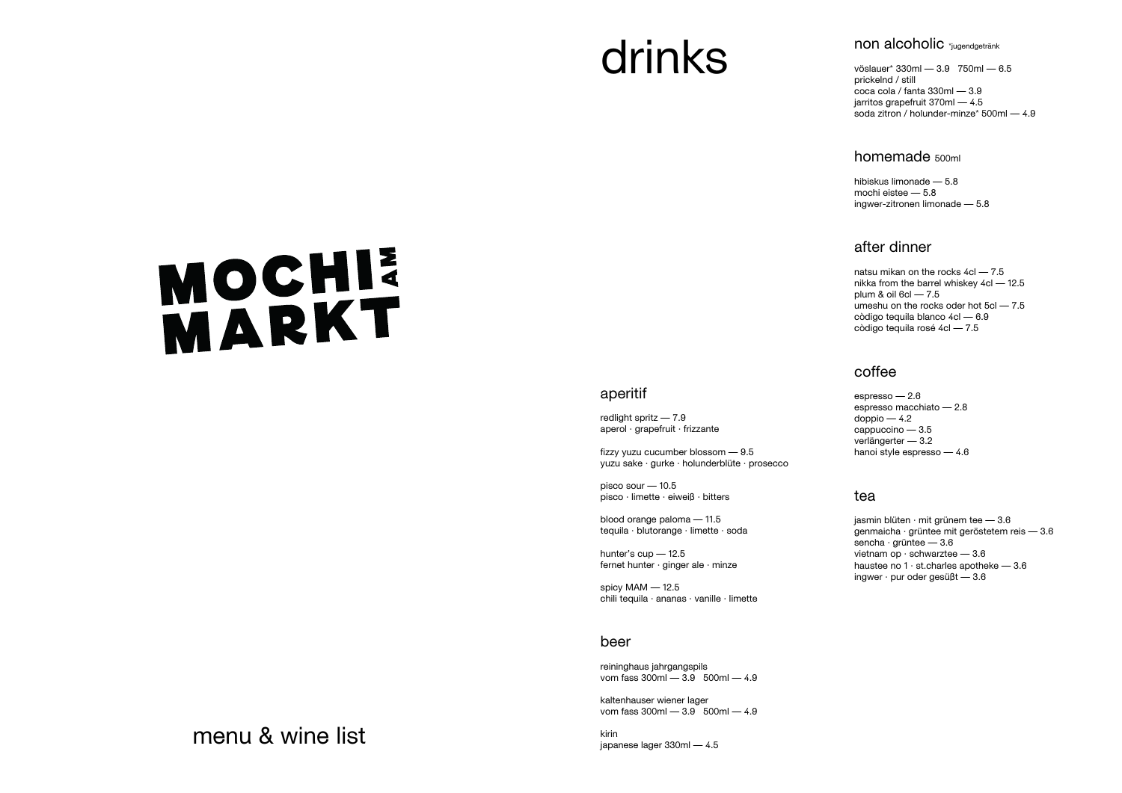## menu & wine list

# drinks

# MOCHI

#### aperitif

redlight spritz — 7.9 aperol · grapefruit · frizzante

fizzy yuzu cucumber blossom — 9.5 yuzu sake · gurke · holunderblüte · prosecco

pisco sour — 10.5 pisco · limette · eiweiß · bitters

blood orange paloma — 11.5 tequila · blutorange · limette · soda

hunter's cup — 12.5 fernet hunter · ginger ale · minze

spicy MAM — 12.5 chili tequila · ananas · vanille · limette

#### beer

reininghaus jahrgangspils vom fass 300ml — 3.9 500ml — 4.9

kaltenhauser wiener lager vom fass 300ml — 3.9 500ml — 4.9

kirin japanese lager 330ml — 4.5

#### non alcoholic \*jugendgetränk

vöslauer\* 330ml — 3.9 750ml — 6.5 prickelnd / still coca cola / fanta 330ml — 3.9 jarritos grapefruit 370ml — 4.5 soda zitron / holunder-minze\* 500ml — 4.9

jasmin blüten  $\cdot$  mit grünem tee  $-3.6$ genmaicha · grüntee mit geröstetem reis — 3.6 sencha · grüntee — 3.6 vietnam op · schwarztee — 3.6 haustee no  $1 \cdot$  st.charles apotheke  $-3.6$ ingwer · pur oder gesüßt — 3.6

#### homemade 500ml

hibiskus limonade — 5.8 mochi eistee — 5.8 ingwer-zitronen limonade — 5.8

#### after dinner

natsu mikan on the rocks 4cl — 7.5 nikka from the barrel whiskey 4cl — 12.5 plum & oil 6cl — 7.5 umeshu on the rocks oder hot 5cl — 7.5 còdigo tequila blanco 4cl — 6.9 còdigo tequila rosé 4cl — 7.5

#### coffee

espresso — 2.6 espresso macchiato — 2.8  $d$ oppio  $-4.2$ cappuccino — 3.5 verlängerter — 3.2 hanoi style espresso — 4.6

#### tea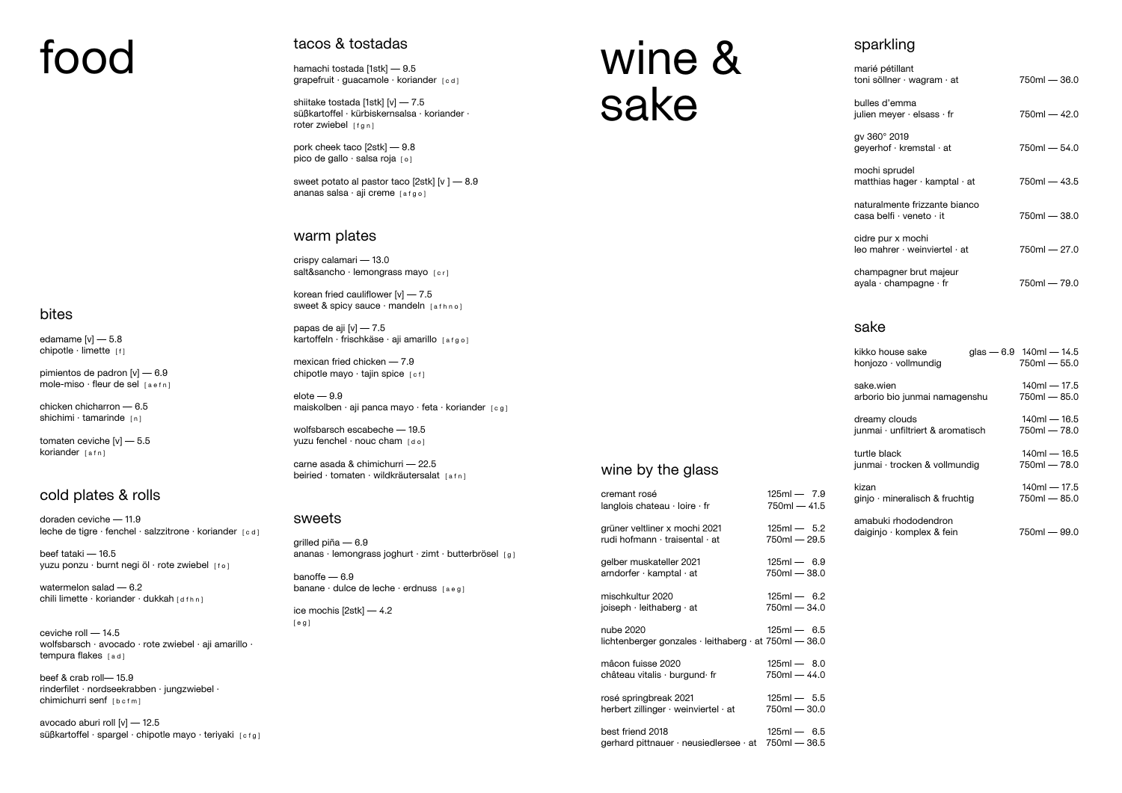# food

#### bites

edamame  $[v]$  - 5.8 chipotle  $\cdot$  limette  $\lbrack f \rbrack$ 

pimientos de padron [v] — 6.9 mole-miso  $\cdot$  fleur de sel  $[a \cdot f n]$ 

chicken chicharron — 6.5 shichimi  $\cdot$  tamarinde  $[n]$ 

tomaten ceviche [v] — 5.5 koriander [afn]

doraden ceviche — 11.9 leche de tigre  $\cdot$  fenchel  $\cdot$  salzzitrone  $\cdot$  koriander  $\lceil c d \rceil$ 

beef tataki — 16.5 yuzu ponzu · burnt negi öl · rote zwiebel [fo]

watermelon salad — 6.2 chili limette · koriander · dukkah [dfhn]

ceviche roll — 14.5 wolfsbarsch · avocado · rote zwiebel · aji amarillo · tempura flakes [ad]

#### cold plates & rolls

beef & crab roll— 15.9 rinderfilet · nordseekrabben · jungzwiebel · chimichurri senf [bcfm]

avocado aburi roll [v] — 12.5 süßkartoffel · spargel · chipotle mayo · teriyaki [cfg]

# wine & sake

#### sake

| kikko house sake<br>honjozo $\cdot$ vollmundig     | glas $-6.9$ 140ml $-14.5$<br>$750ml - 55.0$ |
|----------------------------------------------------|---------------------------------------------|
| sake.wien<br>arborio bio junmai namagenshu         | $140m - 17.5$<br>$750ml - 85.0$             |
| dreamy clouds<br>junmai · unfiltriert & aromatisch | $140m - 16.5$<br>$750ml - 78.0$             |
| turtle black<br>junmai · trocken & vollmundig      | $140m - 16.5$<br>$750ml - 78.0$             |
| kizan<br>ginjo · mineralisch & fruchtig            | $140m - 17.5$<br>750ml - 85.0               |
| amabuki rhododendron<br>daiginjo · komplex & fein  | 750ml — 99.0                                |

hamachi tostada [1stk] — 9.5 grapefruit · guacamole · koriander [cd]

shiitake tostada [1stk] [v] — 7.5 süßkartoffel · kürbiskernsalsa · koriander · roter zwiebel [fgn]

#### sparkling

pork cheek taco [2stk] — 9.8 pico de gallo · salsa roja [0]

sweet potato al pastor taco [2stk] [v ] — 8.9 ananas salsa $\cdot$ aji creme [afgo]

crispy calamari — 13.0 salt&sancho · lemongrass mayo [cr]

korean fried cauliflower  $[v]$  - 7.5 sweet & spicy sauce · mandeln [afhno]

papas de aji [v] — 7.5 kartoffeln · frischkäse · aji amarillo [afgo]

| marié pétillant<br>toni söllner $\cdot$ wagram $\cdot$ at        | $750m - 36.0$ |
|------------------------------------------------------------------|---------------|
| bulles d'emma<br>julien meyer $\cdot$ elsass $\cdot$ fr          | $750m - 42.0$ |
| gv 360° 2019<br>geyerhof $\cdot$ kremstal $\cdot$ at             | $750m - 54.0$ |
| mochi sprudel<br>matthias hager $\cdot$ kamptal $\cdot$ at       | $750m - 43.5$ |
| naturalmente frizzante bianco<br>casa belfi · veneto · it        | 750ml — 38.0  |
| cidre pur x mochi<br>$leo$ mahrer $\cdot$ weinviertel $\cdot$ at | 750ml — 27.0  |
| champagner brut majeur<br>ayala $\cdot$ champagne $\cdot$ fr     | 750ml — 79.0  |

mexican fried chicken — 7.9 chipotle mayo  $\cdot$  tajin spice  $[c f]$ 

 $e$ lote  $-9.9$ maiskolben · aji panca mayo · feta · koriander [cg]

wolfsbarsch escabeche — 19.5 yuzu fenchel · nouc cham [do]

carne asada & chimichurri — 22.5 beiried  $\cdot$  tomaten  $\cdot$  wildkräutersalat  $[a \, f \, n]$ 

banoffe — 6.9 banane · dulce de leche · erdnuss [aeg]

#### wine by the glass

| cremant rosé                                                                     | $125ml - 7.9$  |
|----------------------------------------------------------------------------------|----------------|
| langlois chateau $\cdot$ loire $\cdot$ fr                                        | 750ml — 41.5   |
| grüner veltliner x mochi 2021                                                    | $125ml - 5.2$  |
| rudi hofmann · traisental · at                                                   | 750ml — 29.5   |
| gelber muskateller 2021                                                          | $125ml - 6.9$  |
| arndorfer $\cdot$ kamptal $\cdot$ at                                             | 750ml — 38.0   |
| mischkultur 2020                                                                 | $125ml - 6.2$  |
| joiseph $\cdot$ leithaberg $\cdot$ at                                            | 750ml - 34.0   |
| nube 2020<br>lichtenberger gonzales $\cdot$ leithaberg $\cdot$ at 750ml $-$ 36.0 | $125ml - 6.5$  |
| mâcon fuisse 2020                                                                | $125ml - 8.0$  |
| château vitalis $\cdot$ burgund $\cdot$ fr                                       | 750ml — 44.0   |
| rosé springbreak 2021                                                            | $125ml - 5.5$  |
| herbert zillinger $\cdot$ weinviertel $\cdot$ at                                 | 750ml — 30.0   |
| best friend 2018                                                                 | $125ml - 6.5$  |
| gerhard pittnauer $\cdot$ neusiedlersee $\cdot$ at                               | $750ml - 36.5$ |

#### tacos & tostadas

#### warm plates

#### sweets

grilled piña — 6.9 ananas · lemongrass joghurt · zimt · butterbrösel [ g ]

ice mochis [2stk] — 4.2 [ e g ]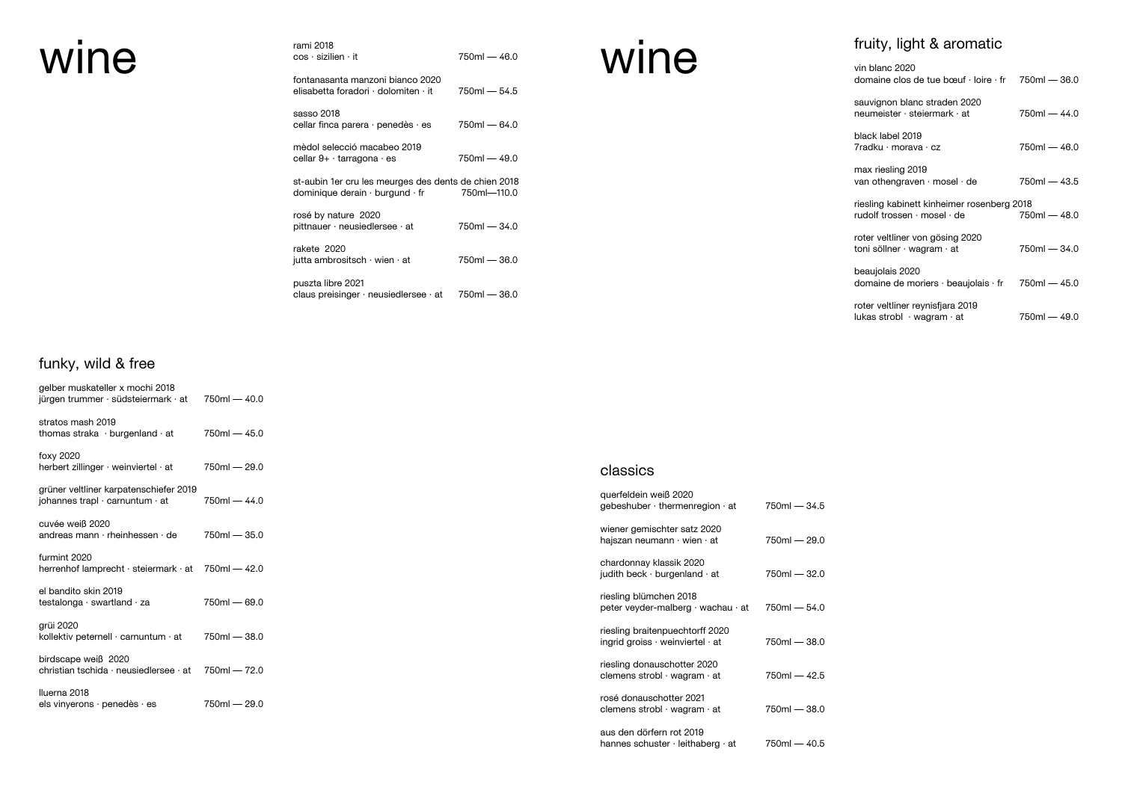| wine | rami 2018<br>$cos \cdot$ sizilien $\cdot$ it                                                        | $750ml - 46.0$ |
|------|-----------------------------------------------------------------------------------------------------|----------------|
|      | fontanasanta manzoni bianco 2020<br>elisabetta foradori $\cdot$ dolomiten $\cdot$ it                | $750ml - 54.5$ |
|      | sasso 2018<br>cellar finca parera $\cdot$ penedès $\cdot$ es                                        | $750ml - 64.0$ |
|      | mèdol selecció macabeo 2019<br>cellar $9+ \cdot$ tarragona $\cdot$ es                               | $750ml - 49.0$ |
|      | st-aubin 1er cru les meurges des dents de chien 2018<br>dominique derain $\cdot$ burgund $\cdot$ fr | 750ml-110.0    |
|      | rosé by nature 2020<br>pittnauer $\cdot$ neusiedlersee $\cdot$ at                                   | $750ml - 34.0$ |
|      | rakete 2020<br>jutta ambrositsch $\cdot$ wien $\cdot$ at                                            | $750ml - 36.0$ |
|      | puszta libre 2021<br>claus preisinger $\cdot$ neusiedlersee $\cdot$ at                              | $750ml - 36.0$ |

## funky, wild & free

| gelber muskateller x mochi 2018<br>jürgen trummer · südsteiermark · at    | $750ml - 40.0$ |
|---------------------------------------------------------------------------|----------------|
| stratos mash 2019<br>thomas straka · burgenland · at                      | $750ml - 45.0$ |
| foxy 2020<br>herbert zillinger · weinviertel · at                         | 750ml — 29.0   |
| grüner veltliner karpatenschiefer 2019<br>johannes trapl · carnuntum · at | $750ml - 44.0$ |
| cuvée weiß 2020<br>andreas mann · rheinhessen · de                        | $750ml - 35.0$ |
| furmint 2020<br>herrenhof lamprecht · steiermark · at 750ml - 42.0        |                |
| el bandito skin 2019<br>testalonga · swartland · za                       | $750m - 69.0$  |
| grüi 2020<br>kollektiv peternell · carnuntum · at                         | $750ml - 38.0$ |
| birdscape weiß 2020<br>christian tschida · neusiedlersee · at             | $750ml - 72.0$ |
| Iluerna 2018<br>els vinyerons $\cdot$ penedès $\cdot$ es                  | 750ml — 29.0   |

## fruity, light & aromatic

| vin blanc 2020<br>domaine clos de tue bœuf $\cdot$ loire $\cdot$ fr 750ml - 36.0 |                |
|----------------------------------------------------------------------------------|----------------|
| sauvignon blanc straden 2020<br>neumeister $\cdot$ steiermark $\cdot$ at         | 750ml - 44.0   |
| black label 2019<br>7radku · morava · cz                                         | $750ml - 46.0$ |
| max riesling 2019<br>van othengraven $\cdot$ mosel $\cdot$ de                    | 750ml — 43.5   |
| riesling kabinett kinheimer rosenberg 2018<br>rudolf trossen · mosel · de        | $750ml - 48.0$ |
| roter veltliner von gösing 2020<br>toni söllner $\cdot$ wagram $\cdot$ at        | 750ml — 34.0   |
| beaujolais 2020<br>domaine de moriers · beaujolais · fr                          | $750ml - 45.0$ |
| roter veltliner reynisfjara 2019<br>lukas strobl $\cdot$ wagram $\cdot$ at       | 750ml — 49.0   |

wine

#### classics

| querfeldein weiß 2020<br>gebeshuber $\cdot$ thermenregion $\cdot$ at            | $750ml - 34.5$ |
|---------------------------------------------------------------------------------|----------------|
| wiener gemischter satz 2020<br>hajszan neumann $\cdot$ wien $\cdot$ at          | 750ml — 29.0   |
| chardonnay klassik 2020<br>judith beck $\cdot$ burgenland $\cdot$ at            | $750m - 32.0$  |
| riesling blümchen 2018<br>peter veyder-malberg · wachau · at                    | $750ml - 54.0$ |
| riesling braitenpuechtorff 2020<br>ingrid groiss $\cdot$ weinviertel $\cdot$ at | 750ml — 38.0   |
| riesling donauschotter 2020<br>clemens strobl $\cdot$ wagram $\cdot$ at         | $750ml - 42.5$ |
| rosé donauschotter 2021<br>clemens strobl $\cdot$ wagram $\cdot$ at             | 750ml — 38.0   |
| aus den dörfern rot 2019<br>hannes schuster · leithaberg · at                   | 750ml — 40.5   |